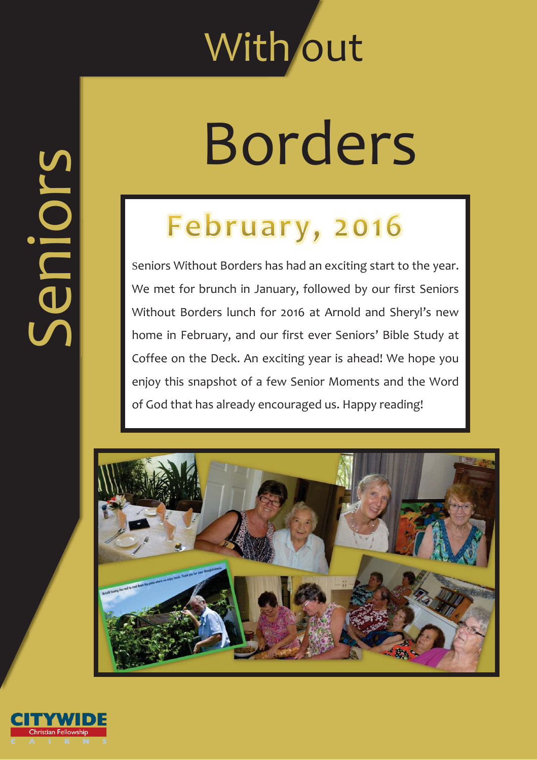## With out

# Borders

### February, 2016

Seniors Without Borders has had an exciting start to the year. We met for brunch in January, followed by our first Seniors Without Borders lunch for 2016 at Arnold and Sheryl's new home in February, and our first ever Seniors' Bible Study at Coffee on the Deck. An exciting year is ahead! We hope you enjoy this snapshot of a few Senior Moments and the Word of God that has already encouraged us. Happy reading!





Seniors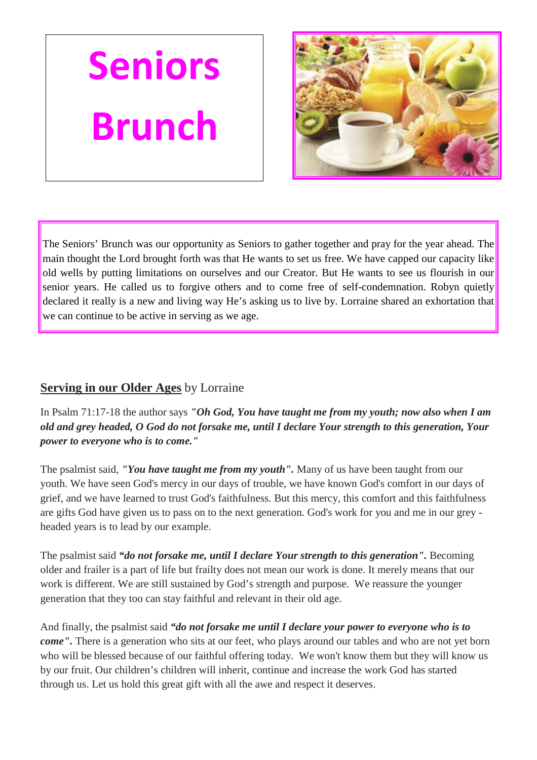## **Seniors Brunch**



The Seniors' Brunch was our opportunity as Seniors to gather together and pray for the year ahead. The main thought the Lord brought forth was that He wants to set us free. We have capped our capacity like old wells by putting limitations on ourselves and our Creator. But He wants to see us flourish in our senior years. He called us to forgive others and to come free of self-condemnation. Robyn quietly declared it really is a new and living way He's asking us to live by. Lorraine shared an exhortation that we can continue to be active in serving as we age.

#### **Serving in our Older Ages** by Lorraine

In Psalm 71:17-18 the author says *"Oh God, You have taught me from my youth; now also when I am old and grey headed, O God do not forsake me, until I declare Your strength to this generation, Your power to everyone who is to come."*

The psalmist said, *"You have taught me from my youth".* Many of us have been taught from our youth. We have seen God's mercy in our days of trouble, we have known God's comfort in our days of grief, and we have learned to trust God's faithfulness. But this mercy, this comfort and this faithfulness are gifts God have given us to pass on to the next generation. God's work for you and me in our grey headed years is to lead by our example.

The psalmist said *"do not forsake me, until I declare Your strength to this generation".* Becoming older and frailer is a part of life but frailty does not mean our work is done. It merely means that our work is different. We are still sustained by God's strength and purpose. We reassure the younger generation that they too can stay faithful and relevant in their old age.

And finally, the psalmist said *"do not forsake me until I declare your power to everyone who is to come"*. There is a generation who sits at our feet, who plays around our tables and who are not yet born who will be blessed because of our faithful offering today. We won't know them but they will know us by our fruit. Our children's children will inherit, continue and increase the work God has started through us. Let us hold this great gift with all the awe and respect it deserves.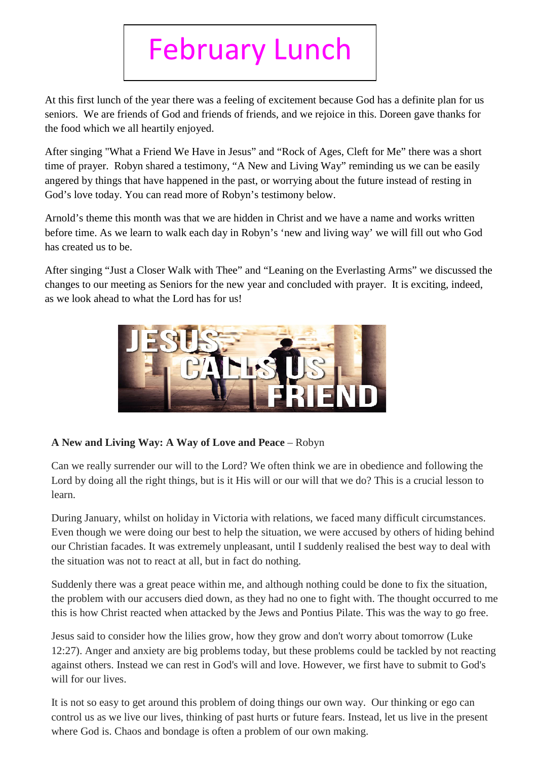## February Lunch

At this first lunch of the year there was a feeling of excitement because God has a definite plan for us seniors. We are friends of God and friends of friends, and we rejoice in this. Doreen gave thanks for the food which we all heartily enjoyed.

After singing "What a Friend We Have in Jesus" and "Rock of Ages, Cleft for Me" there was a short time of prayer. Robyn shared a testimony, "A New and Living Way" reminding us we can be easily angered by things that have happened in the past, or worrying about the future instead of resting in God's love today. You can read more of Robyn's testimony below.

Arnold's theme this month was that we are hidden in Christ and we have a name and works written before time. As we learn to walk each day in Robyn's 'new and living way' we will fill out who God has created us to be.

After singing "Just a Closer Walk with Thee" and "Leaning on the Everlasting Arms" we discussed the changes to our meeting as Seniors for the new year and concluded with prayer. It is exciting, indeed, as we look ahead to what the Lord has for us!



#### **A New and Living Way: A Way of Love and Peace** – Robyn

Can we really surrender our will to the Lord? We often think we are in obedience and following the Lord by doing all the right things, but is it His will or our will that we do? This is a crucial lesson to learn.

During January, whilst on holiday in Victoria with relations, we faced many difficult circumstances. Even though we were doing our best to help the situation, we were accused by others of hiding behind our Christian facades. It was extremely unpleasant, until I suddenly realised the best way to deal with the situation was not to react at all, but in fact do nothing.

Suddenly there was a great peace within me, and although nothing could be done to fix the situation, the problem with our accusers died down, as they had no one to fight with. The thought occurred to me this is how Christ reacted when attacked by the Jews and Pontius Pilate. This was the way to go free.

Jesus said to consider how the lilies grow, how they grow and don't worry about tomorrow (Luke 12:27). Anger and anxiety are big problems today, but these problems could be tackled by not reacting against others. Instead we can rest in God's will and love. However, we first have to submit to God's will for our lives.

It is not so easy to get around this problem of doing things our own way. Our thinking or ego can control us as we live our lives, thinking of past hurts or future fears. Instead, let us live in the present where God is. Chaos and bondage is often a problem of our own making.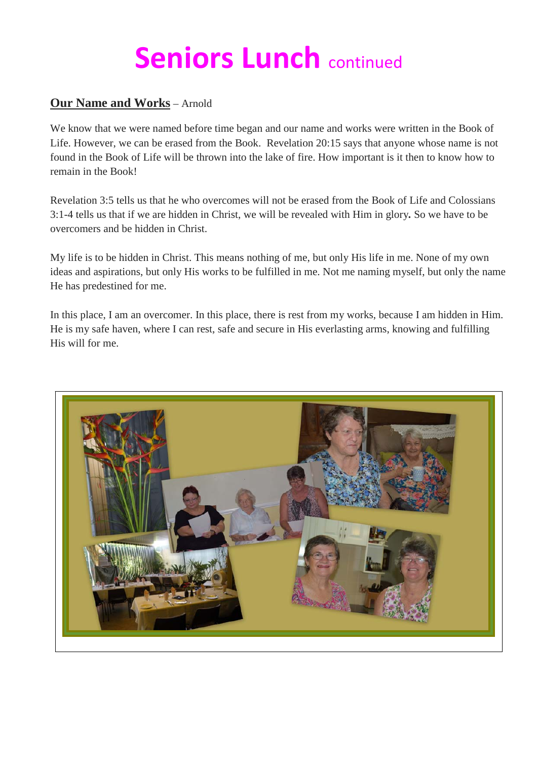### **Seniors Lunch continued**

#### **Our Name and Works** – Arnold

We know that we were named before time began and our name and works were written in the Book of Life. However, we can be erased from the Book. Revelation 20:15 says that anyone whose name is not found in the Book of Life will be thrown into the lake of fire. How important is it then to know how to remain in the Book!

Revelation 3:5 tells us that he who overcomes will not be erased from the Book of Life and Colossians 3:1-4 tells us that if we are hidden in Christ, we will be revealed with Him in glory*.* So we have to be overcomers and be hidden in Christ.

My life is to be hidden in Christ. This means nothing of me, but only His life in me. None of my own ideas and aspirations, but only His works to be fulfilled in me. Not me naming myself, but only the name He has predestined for me.

In this place, I am an overcomer. In this place, there is rest from my works, because I am hidden in Him. He is my safe haven, where I can rest, safe and secure in His everlasting arms, knowing and fulfilling His will for me.

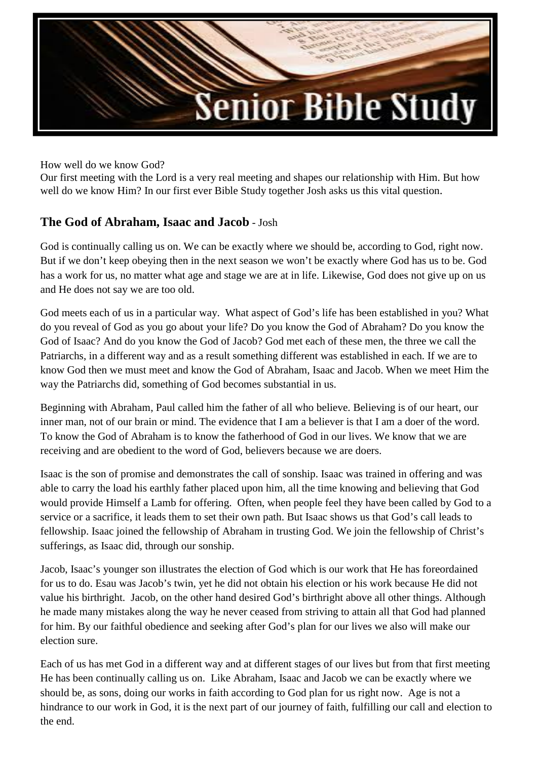

How well do we know God?

Our first meeting with the Lord is a very real meeting and shapes our relationship with Him. But how well do we know Him? In our first ever Bible Study together Josh asks us this vital question.

#### **The God of Abraham, Isaac and Jacob** - Josh

God is continually calling us on. We can be exactly where we should be, according to God, right now. But if we don't keep obeying then in the next season we won't be exactly where God has us to be. God has a work for us, no matter what age and stage we are at in life. Likewise, God does not give up on us and He does not say we are too old.

God meets each of us in a particular way. What aspect of God's life has been established in you? What do you reveal of God as you go about your life? Do you know the God of Abraham? Do you know the God of Isaac? And do you know the God of Jacob? God met each of these men, the three we call the Patriarchs, in a different way and as a result something different was established in each. If we are to know God then we must meet and know the God of Abraham, Isaac and Jacob. When we meet Him the way the Patriarchs did, something of God becomes substantial in us.

Beginning with Abraham, Paul called him the father of all who believe. Believing is of our heart, our inner man, not of our brain or mind. The evidence that I am a believer is that I am a doer of the word. To know the God of Abraham is to know the fatherhood of God in our lives. We know that we are receiving and are obedient to the word of God, believers because we are doers.

Isaac is the son of promise and demonstrates the call of sonship. Isaac was trained in offering and was able to carry the load his earthly father placed upon him, all the time knowing and believing that God would provide Himself a Lamb for offering. Often, when people feel they have been called by God to a service or a sacrifice, it leads them to set their own path. But Isaac shows us that God's call leads to fellowship. Isaac joined the fellowship of Abraham in trusting God. We join the fellowship of Christ's sufferings, as Isaac did, through our sonship.

Jacob, Isaac's younger son illustrates the election of God which is our work that He has foreordained for us to do. Esau was Jacob's twin, yet he did not obtain his election or his work because He did not value his birthright. Jacob, on the other hand desired God's birthright above all other things. Although he made many mistakes along the way he never ceased from striving to attain all that God had planned for him. By our faithful obedience and seeking after God's plan for our lives we also will make our election sure.

Each of us has met God in a different way and at different stages of our lives but from that first meeting He has been continually calling us on. Like Abraham, Isaac and Jacob we can be exactly where we should be, as sons, doing our works in faith according to God plan for us right now. Age is not a hindrance to our work in God, it is the next part of our journey of faith, fulfilling our call and election to the end.